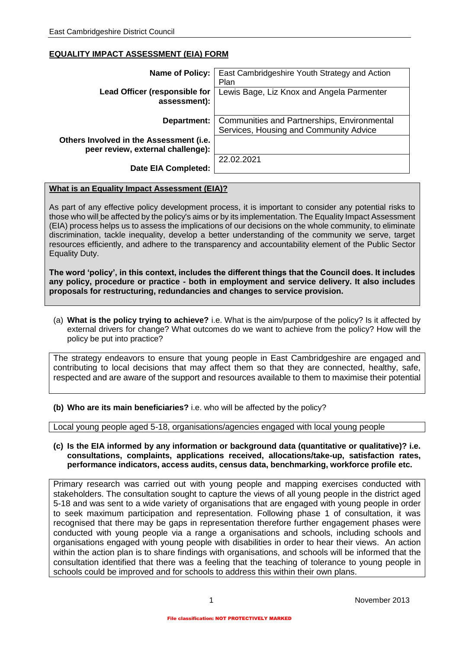## **EQUALITY IMPACT ASSESSMENT (EIA) FORM**

| Name of Policy:                                                              | East Cambridgeshire Youth Strategy and Action<br>Plan                                 |  |
|------------------------------------------------------------------------------|---------------------------------------------------------------------------------------|--|
| Lead Officer (responsible for<br>assessment):                                | Lewis Bage, Liz Knox and Angela Parmenter                                             |  |
| Department:                                                                  | Communities and Partnerships, Environmental<br>Services, Housing and Community Advice |  |
| Others Involved in the Assessment (i.e.<br>peer review, external challenge): |                                                                                       |  |
| <b>Date EIA Completed:</b>                                                   | 22.02.2021                                                                            |  |

## **What is an Equality Impact Assessment (EIA)?**

As part of any effective policy development process, it is important to consider any potential risks to those who will be affected by the policy's aims or by its implementation. The Equality Impact Assessment (EIA) process helps us to assess the implications of our decisions on the whole community, to eliminate discrimination, tackle inequality, develop a better understanding of the community we serve, target resources efficiently, and adhere to the transparency and accountability element of the Public Sector Equality Duty.

**The word 'policy', in this context, includes the different things that the Council does. It includes any policy, procedure or practice - both in employment and service delivery. It also includes proposals for restructuring, redundancies and changes to service provision.**

(a) **What is the policy trying to achieve?** i.e. What is the aim/purpose of the policy? Is it affected by external drivers for change? What outcomes do we want to achieve from the policy? How will the policy be put into practice?

The strategy endeavors to ensure that young people in East Cambridgeshire are engaged and contributing to local decisions that may affect them so that they are connected, healthy, safe, respected and are aware of the support and resources available to them to maximise their potential

**(b) Who are its main beneficiaries?** i.e. who will be affected by the policy?

Local young people aged 5-18, organisations/agencies engaged with local young people

## **(c) Is the EIA informed by any information or background data (quantitative or qualitative)? i.e. consultations, complaints, applications received, allocations/take-up, satisfaction rates, performance indicators, access audits, census data, benchmarking, workforce profile etc.**

Primary research was carried out with young people and mapping exercises conducted with stakeholders. The consultation sought to capture the views of all young people in the district aged 5-18 and was sent to a wide variety of organisations that are engaged with young people in order to seek maximum participation and representation. Following phase 1 of consultation, it was recognised that there may be gaps in representation therefore further engagement phases were conducted with young people via a range a organisations and schools, including schools and organisations engaged with young people with disabilities in order to hear their views. An action within the action plan is to share findings with organisations, and schools will be informed that the consultation identified that there was a feeling that the teaching of tolerance to young people in schools could be improved and for schools to address this within their own plans.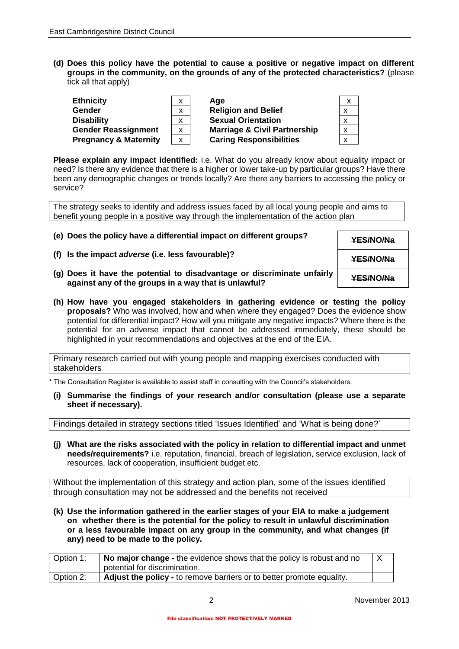**(d) Does this policy have the potential to cause a positive or negative impact on different groups in the community, on the grounds of any of the protected characteristics?** (please tick all that apply)

| <b>Ethnicity</b>                 | x | Aae                                     | $\boldsymbol{\mathsf{x}}$ |
|----------------------------------|---|-----------------------------------------|---------------------------|
| <b>Gender</b>                    | x | <b>Religion and Belief</b>              |                           |
| <b>Disability</b>                | x | <b>Sexual Orientation</b>               | X                         |
| <b>Gender Reassignment</b>       | X | <b>Marriage &amp; Civil Partnership</b> | x                         |
| <b>Pregnancy &amp; Maternity</b> | x | <b>Caring Responsibilities</b>          | x                         |

**Please explain any impact identified:** i.e. What do you already know about equality impact or need? Is there any evidence that there is a higher or lower take-up by particular groups? Have there been any demographic changes or trends locally? Are there any barriers to accessing the policy or service?

The strategy seeks to identify and address issues faced by all local young people and aims to benefit young people in a positive way through the implementation of the action plan

- **(e) Does the policy have a differential impact on different groups? YES/NO/Na**
- **(f) Is the impact** *adverse* **(i.e. less favourable)? YES/NO/Na**
- **(g) Does it have the potential to disadvantage or discriminate unfairly against any of the groups in a way that is unlawful? YES/NO/Na**
- **(h) How have you engaged stakeholders in gathering evidence or testing the policy proposals?** Who was involved, how and when where they engaged? Does the evidence show potential for differential impact? How will you mitigate any negative impacts? Where there is the potential for an adverse impact that cannot be addressed immediately, these should be highlighted in your recommendations and objectives at the end of the EIA.

Primary research carried out with young people and mapping exercises conducted with stakeholders

\* The Consultation Register is available to assist staff in consulting with the Council's stakeholders.

**(i) Summarise the findings of your research and/or consultation (please use a separate sheet if necessary).**

Findings detailed in strategy sections titled 'Issues Identified' and 'What is being done?'

**(j) What are the risks associated with the policy in relation to differential impact and unmet needs/requirements?** i.e. reputation, financial, breach of legislation, service exclusion, lack of resources, lack of cooperation, insufficient budget etc.

Without the implementation of this strategy and action plan, some of the issues identified through consultation may not be addressed and the benefits not received

**(k) Use the information gathered in the earlier stages of your EIA to make a judgement on whether there is the potential for the policy to result in unlawful discrimination or a less favourable impact on any group in the community, and what changes (if any) need to be made to the policy.** 

| Option 1: | No major change - the evidence shows that the policy is robust and no<br>potential for discrimination. |  |
|-----------|--------------------------------------------------------------------------------------------------------|--|
| Option 2: | Adjust the policy - to remove barriers or to better promote equality.                                  |  |